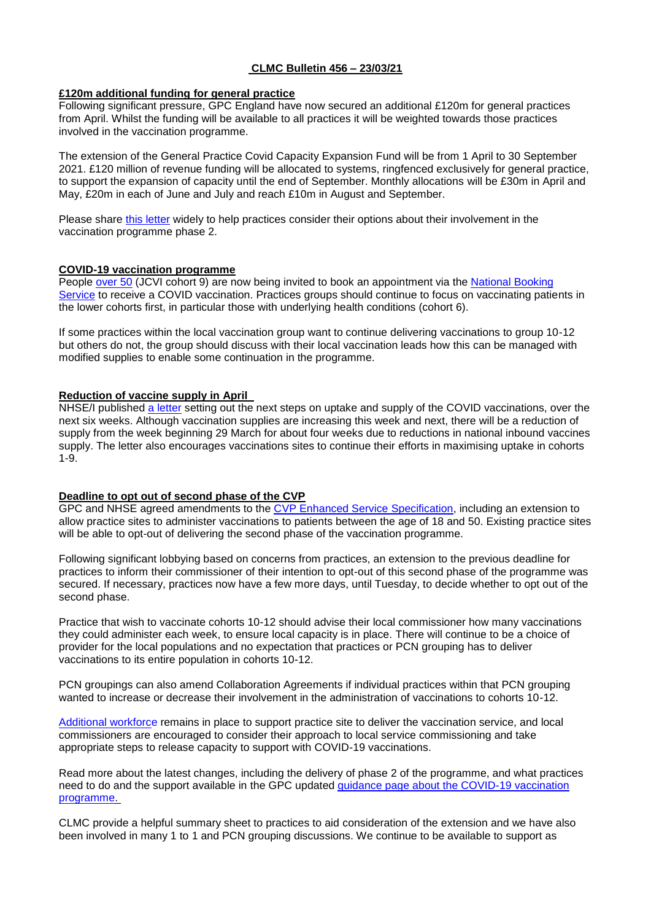# **CLMC Bulletin 456 – 23/03/21**

### **£120m additional funding for general practice**

Following significant pressure, GPC England have now secured an additional £120m for general practices from April. Whilst the funding will be available to all practices it will be weighted towards those practices involved in the vaccination programme.

The extension of the General Practice Covid Capacity Expansion Fund will be from 1 April to 30 September 2021. £120 million of revenue funding will be allocated to systems, ringfenced exclusively for general practice, to support the expansion of capacity until the end of September. Monthly allocations will be £30m in April and May, £20m in each of June and July and reach £10m in August and September.

Please share this [letter](https://www.clevelandlmc.org.uk/website/IGP367/files/c1216.pdf) widely to help practices consider their options about their involvement in the vaccination programme phase 2.

### **COVID-19 vaccination programme**

People [over 50](https://www.england.nhs.uk/2021/03/nhs-england-invites-everyone-aged-50-and-over-to-be-jabbed-as-nhs-vaccination-programme-marks-100th-day/) (JCVI cohort 9) are now being invited to book an appointment via the [National Booking](https://www.nhs.uk/conditions/coronavirus-covid-19/coronavirus-vaccination/book-coronavirus-vaccination/)  [Service](https://www.nhs.uk/conditions/coronavirus-covid-19/coronavirus-vaccination/book-coronavirus-vaccination/) to receive a COVID vaccination. Practices groups should continue to focus on vaccinating patients in the lower cohorts first, in particular those with underlying health conditions (cohort 6).

If some practices within the local vaccination group want to continue delivering vaccinations to group 10-12 but others do not, the group should discuss with their local vaccination leads how this can be managed with modified supplies to enable some continuation in the programme.

### **Reduction of vaccine supply in April**

NHSE/I published [a letter](https://www.england.nhs.uk/coronavirus/publication/covid-19-vaccination-deployment-next-steps-on-uptake-and-supply/) setting out the next steps on uptake and supply of the COVID vaccinations, over the next six weeks. Although vaccination supplies are increasing this week and next, there will be a reduction of supply from the week beginning 29 March for about four weeks due to reductions in national inbound vaccines supply. The letter also encourages vaccinations sites to continue their efforts in maximising uptake in cohorts 1-9.

# **Deadline to opt out of second phase of the CVP**

GPC and NHSE agreed amendments to the [CVP Enhanced Service Specification,](https://www.england.nhs.uk/coronavirus/publication/ess-vaccination-programme/) including an extension to allow practice sites to administer vaccinations to patients between the age of 18 and 50. Existing practice sites will be able to opt-out of delivering the second phase of the vaccination programme.

Following significant lobbying based on concerns from practices, an extension to the previous deadline for practices to inform their commissioner of their intention to opt-out of this second phase of the programme was secured. If necessary, practices now have a few more days, until Tuesday, to decide whether to opt out of the second phase.

Practice that wish to vaccinate cohorts 10-12 should advise their local commissioner how many vaccinations they could administer each week, to ensure local capacity is in place. There will continue to be a choice of provider for the local populations and no expectation that practices or PCN grouping has to deliver vaccinations to its entire population in cohorts 10-12.

PCN groupings can also amend Collaboration Agreements if individual practices within that PCN grouping wanted to increase or decrease their involvement in the administration of vaccinations to cohorts 10-12.

[Additional workforce](https://www.england.nhs.uk/coronavirus/wp-content/uploads/sites/52/2021/01/C1035-covid-19-access-to-national-workforce-supply-routes-for-pcn-groupings-jan-2021-v2.pdf) remains in place to support practice site to deliver the vaccination service, and local commissioners are encouraged to consider their approach to local service commissioning and take appropriate steps to release capacity to support with COVID-19 vaccinations.

Read more about the latest changes, including the delivery of phase 2 of the programme, and what practices need to do and the support available in the GPC updated [guidance page about the COVID-19 vaccination](https://www.bma.org.uk/advice-and-support/covid-19/gp-practices/covid-19-vaccination-programme)  [programme.](https://www.bma.org.uk/advice-and-support/covid-19/gp-practices/covid-19-vaccination-programme)

CLMC provide a helpful summary sheet to practices to aid consideration of the extension and we have also been involved in many 1 to 1 and PCN grouping discussions. We continue to be available to support as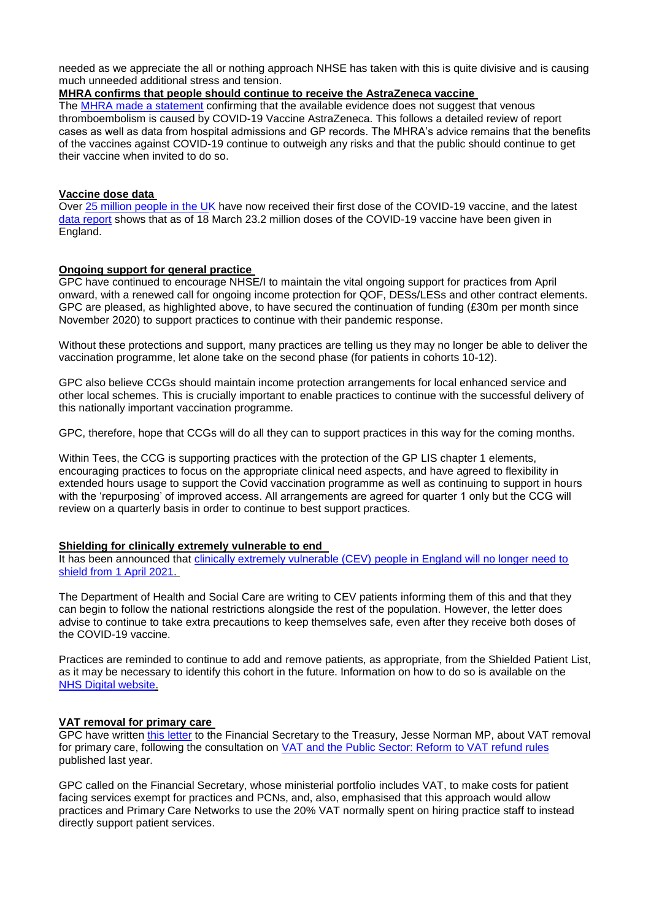needed as we appreciate the all or nothing approach NHSE has taken with this is quite divisive and is causing much unneeded additional stress and tension.

## **MHRA confirms that people should continue to receive the AstraZeneca vaccine**

The [MHRA made a statement](https://www.gov.uk/government/news/uk-regulator-confirms-that-people-should-continue-to-receive-the-covid-19-vaccine-astrazeneca) confirming that the available evidence does not suggest that venous thromboembolism is caused by COVID-19 Vaccine AstraZeneca. This follows a detailed review of report cases as well as data from hospital admissions and GP records. The MHRA's advice remains that the benefits of the vaccines against COVID-19 continue to outweigh any risks and that the public should continue to get their vaccine when invited to do so.

### **Vaccine dose data**

Over [25 million people in the UK](https://coronavirus.data.gov.uk/details/vaccinations) have now received their first dose of the COVID-19 vaccine, and the latest [data report](https://www.england.nhs.uk/statistics/statistical-work-areas/covid-19-vaccinations/) shows that as of 18 March 23.2 million doses of the COVID-19 vaccine have been given in England.

### **Ongoing support for general practice**

GPC have continued to encourage NHSE/I to maintain the vital ongoing support for practices from April onward, with a renewed call for ongoing income protection for QOF, DESs/LESs and other contract elements. GPC are pleased, as highlighted above, to have secured the continuation of funding (£30m per month since November 2020) to support practices to continue with their pandemic response.

Without these protections and support, many practices are telling us they may no longer be able to deliver the vaccination programme, let alone take on the second phase (for patients in cohorts 10-12).

GPC also believe CCGs should maintain income protection arrangements for local enhanced service and other local schemes. This is crucially important to enable practices to continue with the successful delivery of this nationally important vaccination programme.

GPC, therefore, hope that CCGs will do all they can to support practices in this way for the coming months.

Within Tees, the CCG is supporting practices with the protection of the GP LIS chapter 1 elements, encouraging practices to focus on the appropriate clinical need aspects, and have agreed to flexibility in extended hours usage to support the Covid vaccination programme as well as continuing to support in hours with the 'repurposing' of improved access. All arrangements are agreed for quarter 1 only but the CCG will review on a quarterly basis in order to continue to best support practices.

### **Shielding for clinically extremely vulnerable to end**

It has been announced that clinically extremely vulnerable (CEV) people in England will no longer need to [shield from 1 April 2021.](http://email.dhsc-mail.co.uk/c/eJxdUE1vgzAM_TVwCyIEGBw4dGVo2rW3XSI3MZA1HyiE0v37pVLXSZMt2X5Pfv6QHbycU9UVeUFzRhta5rSqM5od-mHoy9dmaMq3Y0_bpMzlvApiQOlMuGy7pHNXiwrHNq-KBlGUzVg3LbaMiZdKVOe8lqnu5hCWNWGHpBii7_ueTe4au2MRE_TWoA2xsLivMayzQi2VnQjIqxJIRudJmJEIrawSoPU3wVvwaDBm101b9HDWSIIja3ALGb0zBBavdMKGfSGx7aKsxFvC-iIp6i0YLsAsoCYboeNTlj9l-Z8sf-7Dt0VCwF8FZ8N9b9b_e8qDNyjVZiKNd-oBrm7zAiPY4wI-3A_nbuTvCDrMHKzkJycUaH4Ej6nvRvAwf4FB1PH702OISUN3ulEFn_1HUhyRVSJvz9HKCpuRUsqaEaryB41-oVA)

The Department of Health and Social Care are writing to CEV patients informing them of this and that they can begin to follow the national restrictions alongside the rest of the population. However, the letter does advise to continue to take extra precautions to keep themselves safe, even after they receive both doses of the COVID-19 vaccine.

Practices are reminded to continue to add and remove patients, as appropriate, from the Shielded Patient List, as it may be necessary to identify this cohort in the future. Information on how to do so is available on the [NHS Digital website.](https://digital.nhs.uk/coronavirus/shielded-patient-list/guidance-for-general-practice)

# **VAT removal for primary care**

GPC have written this [letter](https://www.clevelandlmc.org.uk/website/IGP367/files/BMA.pdf) to the Financial Secretary to the Treasury, Jesse Norman MP, about VAT removal for primary care, following the consultation on [VAT and the Public Sector: Reform to VAT refund rules](https://www.gov.uk/government/publications/vat-and-the-public-sector-reform-to-vat-refund-rules) published last year.

GPC called on the Financial Secretary, whose ministerial portfolio includes VAT, to make costs for patient facing services exempt for practices and PCNs, and, also, emphasised that this approach would allow practices and Primary Care Networks to use the 20% VAT normally spent on hiring practice staff to instead directly support patient services.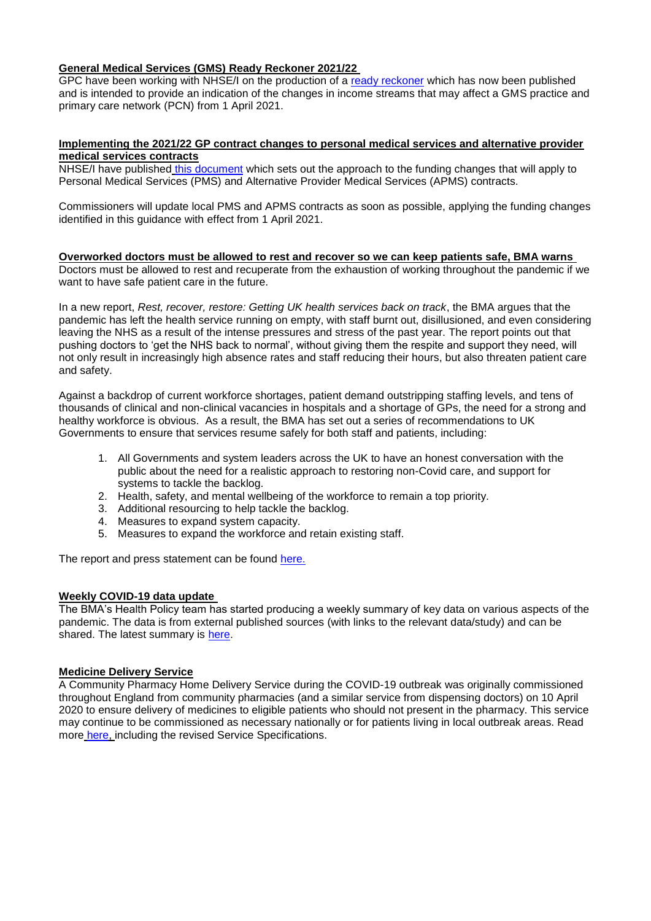## **General Medical Services (GMS) Ready Reckoner 2021/22**

GPC have been working with NHSE/I on the production of a [ready reckoner](https://www.england.nhs.uk/publication/general-medical-services-gms-ready-reckoner-2021-22/) which has now been published and is intended to provide an indication of the changes in income streams that may affect a GMS practice and primary care network (PCN) from 1 April 2021.

### **Implementing the 2021/22 GP contract changes to personal medical services and alternative provider medical services contracts**

NHSE/I have published [this document](https://www.england.nhs.uk/publication/implementing-the-2021-22-gp-contract-changes-to-personal-medical-services-and-alternative-provider-medical-services-contracts/) which sets out the approach to the funding changes that will apply to Personal Medical Services (PMS) and Alternative Provider Medical Services (APMS) contracts.

Commissioners will update local PMS and APMS contracts as soon as possible, applying the funding changes identified in this guidance with effect from 1 April 2021.

# **Overworked doctors must be allowed to rest and recover so we can keep patients safe, BMA warns**

Doctors must be allowed to rest and recuperate from the exhaustion of working throughout the pandemic if we want to have safe patient care in the future.

In a new report, *Rest, recover, restore: Getting UK health services back on track*, the BMA argues that the pandemic has left the health service running on empty, with staff burnt out, disillusioned, and even considering leaving the NHS as a result of the intense pressures and stress of the past year. The report points out that pushing doctors to 'get the NHS back to normal', without giving them the respite and support they need, will not only result in increasingly high absence rates and staff reducing their hours, but also threaten patient care and safety.

Against a backdrop of current workforce shortages, patient demand outstripping staffing levels, and tens of thousands of clinical and non-clinical vacancies in hospitals and a shortage of GPs, the need for a strong and healthy workforce is obvious. As a result, the BMA has set out a series of recommendations to UK Governments to ensure that services resume safely for both staff and patients, including:

- 1. All Governments and system leaders across the UK to have an honest conversation with the public about the need for a realistic approach to restoring non-Covid care, and support for systems to tackle the backlog.
- 2. Health, safety, and mental wellbeing of the workforce to remain a top priority.
- 3. Additional resourcing to help tackle the backlog.
- 4. Measures to expand system capacity.
- 5. Measures to expand the workforce and retain existing staff.

The report and press statement can be found [here.](https://www.bma.org.uk/bma-media-centre/overworked-doctors-must-be-allowed-to-rest-and-recover-so-we-can-keep-patients-safe-bma-warns)

### **Weekly COVID-19 data update**

The BMA's Health Policy team has started producing a weekly summary of key data on various aspects of the pandemic. The data is from external published sources (with links to the relevant data/study) and can be shared. The latest summary is [here.](https://www.clevelandlmc.org.uk/website/IGP367/files/Weekly%20Covid-19%20data%20update.pptx)

# **Medicine Delivery Service**

A Community Pharmacy Home Delivery Service during the COVID-19 outbreak was originally commissioned throughout England from community pharmacies (and a similar service from dispensing doctors) on 10 April 2020 to ensure delivery of medicines to eligible patients who should not present in the pharmacy. This service may continue to be commissioned as necessary nationally or for patients living in local outbreak areas. Read more [here,](https://www.england.nhs.uk/coronavirus/publication/preparedness-letters-for-community-pharmacy/) including the revised Service Specifications.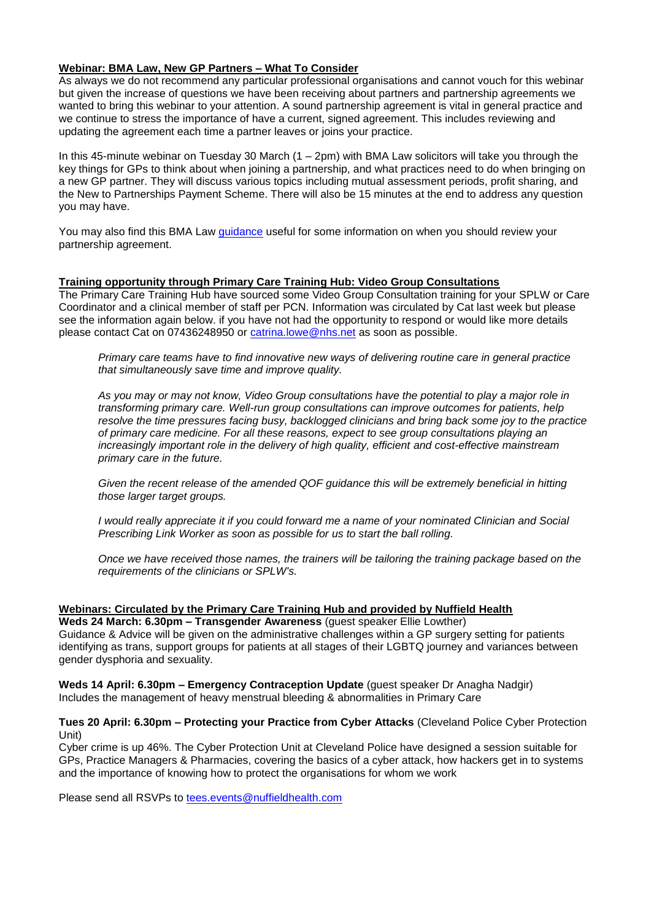# **Webinar: BMA Law, New GP Partners – What To Consider**

As always we do not recommend any particular professional organisations and cannot vouch for this webinar but given the increase of questions we have been receiving about partners and partnership agreements we wanted to bring this webinar to your attention. A sound partnership agreement is vital in general practice and we continue to stress the importance of have a current, signed agreement. This includes reviewing and updating the agreement each time a partner leaves or joins your practice.

In this 45-minute webinar on Tuesday 30 March  $(1 - 2pm)$  with BMA Law solicitors will take you through the key things for GPs to think about when joining a partnership, and what practices need to do when bringing on a new GP partner. They will discuss various topics including mutual assessment periods, profit sharing, and the New to Partnerships Payment Scheme. There will also be 15 minutes at the end to address any question you may have.

You may also find this BMA Law [guidance](https://bmalaw.co.uk/resource/when-should-you-review-your-partnership-agreement/) useful for some information on when you should review your partnership agreement.

### **Training opportunity through Primary Care Training Hub: Video Group Consultations**

The Primary Care Training Hub have sourced some Video Group Consultation training for your SPLW or Care Coordinator and a clinical member of staff per PCN. Information was circulated by Cat last week but please see the information again below. if you have not had the opportunity to respond or would like more details please contact Cat on 07436248950 or [catrina.lowe@nhs.net](mailto:catrina.lowe@nhs.net) as soon as possible.

*Primary care teams have to find innovative new ways of delivering routine care in general practice that simultaneously save time and improve quality.*

*As you may or may not know, Video Group consultations have the potential to play a major role in transforming primary care. Well-run group consultations can improve outcomes for patients, help resolve the time pressures facing busy, backlogged clinicians and bring back some joy to the practice of primary care medicine. For all these reasons, expect to see group consultations playing an increasingly important role in the delivery of high quality, efficient and cost-effective mainstream primary care in the future.*

*Given the recent release of the amended QOF guidance this will be extremely beneficial in hitting those larger target groups.*

*I* would really appreciate it if you could forward me a name of your nominated Clinician and Social *Prescribing Link Worker as soon as possible for us to start the ball rolling.*

*Once we have received those names, the trainers will be tailoring the training package based on the requirements of the clinicians or SPLW's.*

# **Webinars: Circulated by the Primary Care Training Hub and provided by Nuffield Health**

**Weds 24 March: 6.30pm – Transgender Awareness** (guest speaker Ellie Lowther) Guidance & Advice will be given on the administrative challenges within a GP surgery setting for patients identifying as trans, support groups for patients at all stages of their LGBTQ journey and variances between gender dysphoria and sexuality.

**Weds 14 April: 6.30pm – Emergency Contraception Update** (guest speaker Dr Anagha Nadgir) Includes the management of heavy menstrual bleeding & abnormalities in Primary Care

**Tues 20 April: 6.30pm – Protecting your Practice from Cyber Attacks** (Cleveland Police Cyber Protection Unit)

Cyber crime is up 46%. The Cyber Protection Unit at Cleveland Police have designed a session suitable for GPs, Practice Managers & Pharmacies, covering the basics of a cyber attack, how hackers get in to systems and the importance of knowing how to protect the organisations for whom we work

Please send all RSVPs to [tees.events@nuffieldhealth.com](mailto:tees.events@nuffieldhealth.com)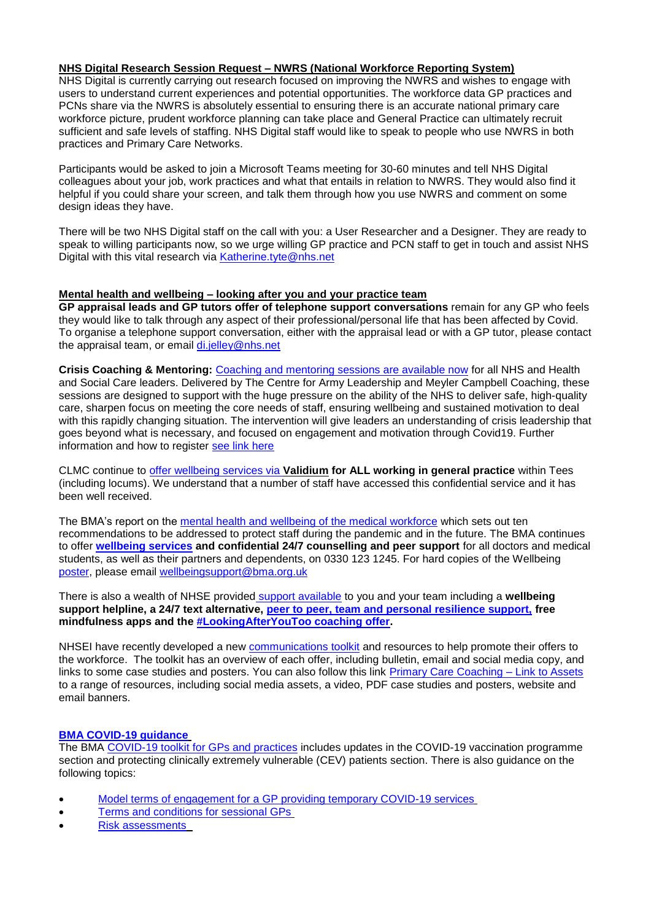# **NHS Digital Research Session Request – NWRS (National Workforce Reporting System)**

NHS Digital is currently carrying out research focused on improving the NWRS and wishes to engage with users to understand current experiences and potential opportunities. The workforce data GP practices and PCNs share via the NWRS is absolutely essential to ensuring there is an accurate national primary care workforce picture, prudent workforce planning can take place and General Practice can ultimately recruit sufficient and safe levels of staffing. NHS Digital staff would like to speak to people who use NWRS in both practices and Primary Care Networks.

Participants would be asked to join a Microsoft Teams meeting for 30-60 minutes and tell NHS Digital colleagues about your job, work practices and what that entails in relation to NWRS. They would also find it helpful if you could share your screen, and talk them through how you use NWRS and comment on some design ideas they have.

There will be two NHS Digital staff on the call with you: a User Researcher and a Designer. They are ready to speak to willing participants now, so we urge willing GP practice and PCN staff to get in touch and assist NHS Digital with this vital research via [Katherine.tyte@nhs.net](mailto:Katherine.tyte@nhs.net)

### **Mental health and wellbeing – looking after you and your practice team**

**GP appraisal leads and GP tutors offer of telephone support conversations** remain for any GP who feels they would like to talk through any aspect of their professional/personal life that has been affected by Covid. To organise a telephone support conversation, either with the appraisal lead or with a GP tutor, please contact the appraisal team, or email [di.jelley@nhs.net](mailto:di.jelley@nhs.net)

**Crisis Coaching & Mentoring:** Coaching and [mentoring sessions are available now](https://nhs.us5.list-manage.com/track/click?u=2bb00c8eecef5a74724810a2d&id=5697e08ec5&e=1f76f620d3) for all NHS and Health and Social Care leaders. Delivered by The Centre for Army Leadership and Meyler Campbell Coaching, these sessions are designed to support with the huge pressure on the ability of the NHS to deliver safe, high-quality care, sharpen focus on meeting the core needs of staff, ensuring wellbeing and sustained motivation to deal with this rapidly changing situation. The intervention will give leaders an understanding of crisis leadership that goes beyond what is necessary, and focused on engagement and motivation through Covid19. Further information and how to register [see link here](https://people.nhs.uk/support-for-leaders/coaching-and-mentoring-for-leaders/)

CLMC continue to [offer wellbeing services via](https://www.clevelandlmc.org.uk/page1.aspx?p=20&t=2) **Validium for ALL working in general practice** within Tees (including locums). We understand that a number of staff have accessed this confidential service and it has been well received.

The BMA's report on the [mental health and wellbeing of the medical workforce](https://www.bma.org.uk/advice-and-support/nhs-delivery-and-workforce/mental-health-of-doctors-and-medical-students/improving-the-mental-wellbeing-of-doctors-and-medical-students) which sets out ten recommendations to be addressed to protect staff during the pandemic and in the future. The BMA continues to offer **[wellbeing services](https://www.bma.org.uk/advice-and-support/your-wellbeing#wellbeing-support-services) and confidential 24/7 counselling and peer support** for all doctors and medical students, as well as their partners and dependents, on 0330 123 1245. For hard copies of the Wellbeing [poster,](https://www.bma.org.uk/media/2217/bma-wellbeing-covid-19-poster.pdf) please email [wellbeingsupport@bma.org.uk](mailto:wellbeingsupport@bma.org.uk)

There is also a wealth of NHSE provided [support available](https://people.nhs.uk/help/) to you and your team including a **wellbeing support helpline, a 24/7 text alternative, [peer to peer, team and personal resilience support,](https://people.nhs.uk/all-guides/) free mindfulness apps and the [#LookingAfterYouToo coaching offer.](https://people.nhs.uk/lookingafteryoutoo/)**

NHSEI have recently developed a new [communications toolkit](https://www.clevelandlmc.org.uk/website/IGP367/files/looking.pdf) and resources to help promote their offers to the workforce. The toolkit has an overview of each offer, including bulletin, email and social media copy, and links to some case studies and posters. You can also follow this link [Primary Care Coaching –](https://drive.google.com/file/d/1K6XIsYTDuQDLymBcUUcc0u7X0iQfd4kO/view?usp=sharing) Link to Assets to a range of resources, including social media assets, a video, PDF case studies and posters, website and email banners.

### **[BMA COVID-19 guidance](https://www.bma.org.uk/advice-and-support/covid-19)**

The BMA [COVID-19 toolkit for GPs and practices](https://www.bma.org.uk/advice-and-support/covid-19/practical-guidance/covid-19-toolkit-for-gps-and-gp-practices) includes updates in the COVID-19 vaccination programme section and protecting clinically extremely vulnerable (CEV) patients section. There is also guidance on the following topics:

- [Model terms of engagement for a GP providing temporary COVID-19 services](https://www.bma.org.uk/advice-and-support/covid-19/your-contract/covid-19-model-terms-for-gps)
- [Terms and conditions for sessional GPs](https://www.bma.org.uk/advice-and-support/covid-19/your-contract/covid-19-your-terms-and-conditions/your-terms-and-conditions-sessional-gps)
- [Risk assessments](https://www.bma.org.uk/advice-and-support/covid-19/your-health/covid-19-risk-assessment)